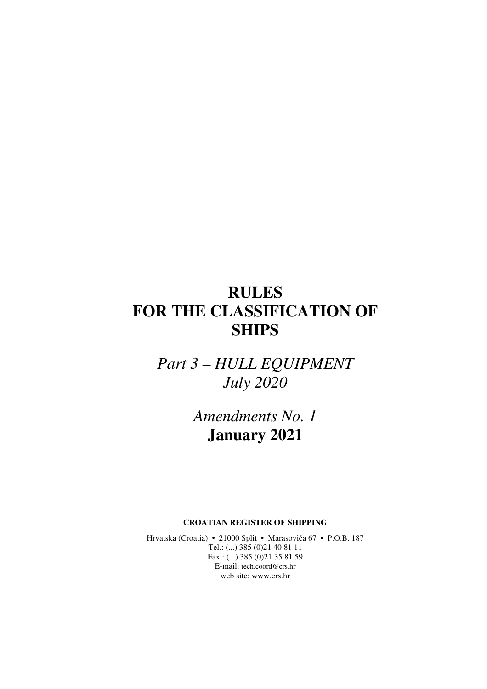# **RULES FOR THE CLASSIFICATION OF SHIPS**

*Part 3 – HULL EQUIPMENT July 2020* 

> *Amendments No. 1*  **January 2021**

**CROATIAN REGISTER OF SHIPPING** 

Hrvatska (Croatia) • 21000 Split • Marasovića 67 • P.O.B. 187 Tel.: (...) 385 (0)21 40 81 11 Fax.: (...) 385 (0)21 35 81 59 E-mail: tech.coord@crs.hr web site: www.crs.hr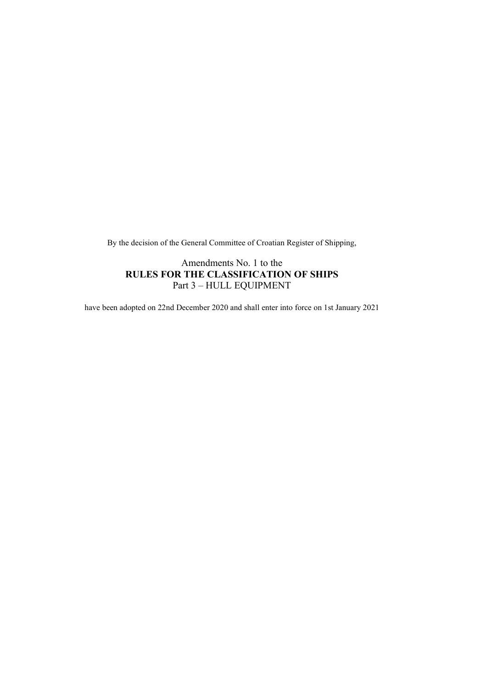By the decision of the General Committee of Croatian Register of Shipping,

Amendments No. 1 to the RULES FOR THE CLASSIFICATION OF SHIPS Part 3 – HULL EQUIPMENT

have been adopted on 22nd December 2020 and shall enter into force on 1st January 2021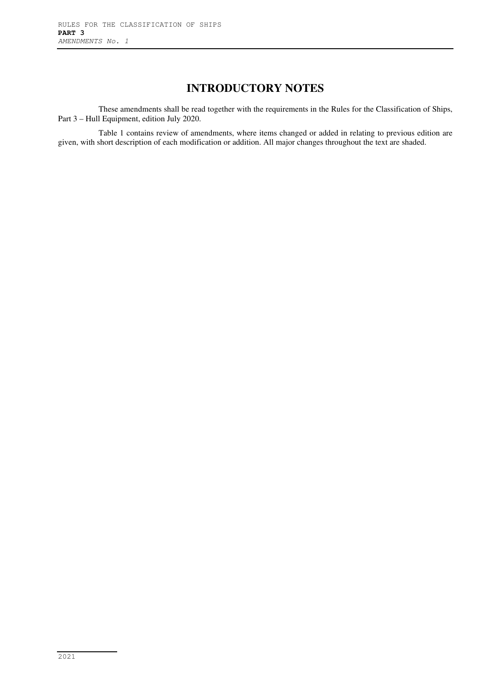# **INTRODUCTORY NOTES**

These amendments shall be read together with the requirements in the Rules for the Classification of Ships, Part 3 – Hull Equipment, edition July 2020.

Table 1 contains review of amendments, where items changed or added in relating to previous edition are given, with short description of each modification or addition. All major changes throughout the text are shaded.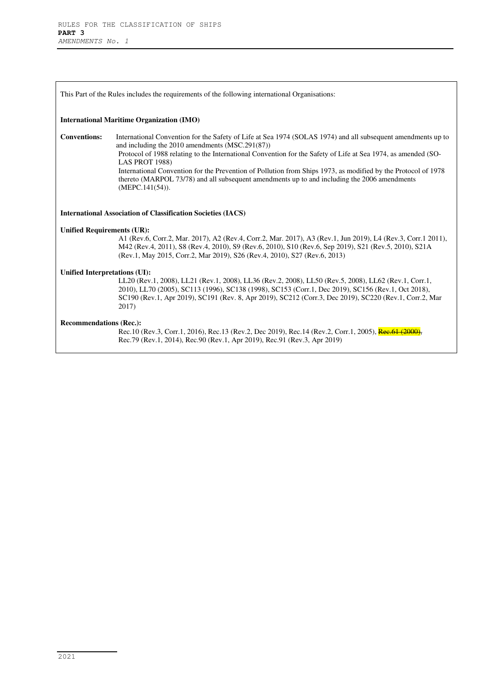| This Part of the Rules includes the requirements of the following international Organisations:                                                                                                                    |                                                                                                                                                                                                                                                                                                                                                                                                                                                                                                                                               |  |
|-------------------------------------------------------------------------------------------------------------------------------------------------------------------------------------------------------------------|-----------------------------------------------------------------------------------------------------------------------------------------------------------------------------------------------------------------------------------------------------------------------------------------------------------------------------------------------------------------------------------------------------------------------------------------------------------------------------------------------------------------------------------------------|--|
| <b>International Maritime Organization (IMO)</b>                                                                                                                                                                  |                                                                                                                                                                                                                                                                                                                                                                                                                                                                                                                                               |  |
| <b>Conventions:</b>                                                                                                                                                                                               | International Convention for the Safety of Life at Sea 1974 (SOLAS 1974) and all subsequent amendments up to<br>and including the 2010 amendments (MSC.291(87))<br>Protocol of 1988 relating to the International Convention for the Safety of Life at Sea 1974, as amended (SO-<br><b>LAS PROT 1988)</b><br>International Convention for the Prevention of Pollution from Ships 1973, as modified by the Protocol of 1978<br>thereto (MARPOL 73/78) and all subsequent amendments up to and including the 2006 amendments<br>(MEPC.141(54)). |  |
| <b>International Association of Classification Societies (IACS)</b>                                                                                                                                               |                                                                                                                                                                                                                                                                                                                                                                                                                                                                                                                                               |  |
| <b>Unified Requirements (UR):</b>                                                                                                                                                                                 | A1 (Rev.6, Corr.2, Mar. 2017), A2 (Rev.4, Corr.2, Mar. 2017), A3 (Rev.1, Jun 2019), L4 (Rev.3, Corr.1 2011),<br>M42 (Rev.4, 2011), S8 (Rev.4, 2010), S9 (Rev.6, 2010), S10 (Rev.6, Sep 2019), S21 (Rev.5, 2010), S21A<br>(Rev.1, May 2015, Corr.2, Mar 2019), S26 (Rev.4, 2010), S27 (Rev.6, 2013)                                                                                                                                                                                                                                            |  |
| Unified Interpretations (UI):                                                                                                                                                                                     | LL20 (Rev.1, 2008), LL21 (Rev.1, 2008), LL36 (Rev.2, 2008), LL50 (Rev.5, 2008), LL62 (Rev.1, Corr.1,<br>2010), LL70 (2005), SC113 (1996), SC138 (1998), SC153 (Corr.1, Dec 2019), SC156 (Rev.1, Oct 2018),<br>SC190 (Rev.1, Apr 2019), SC191 (Rev. 8, Apr 2019), SC212 (Corr.3, Dec 2019), SC220 (Rev.1, Corr.2, Mar<br>2017)                                                                                                                                                                                                                 |  |
| <b>Recommendations (Rec.):</b><br>Rec.10 (Rev.3, Corr.1, 2016), Rec.13 (Rev.2, Dec 2019), Rec.14 (Rev.2, Corr.1, 2005), Rec.61 (2000)<br>Rec.79 (Rev.1, 2014), Rec.90 (Rev.1, Apr 2019), Rec.91 (Rev.3, Apr 2019) |                                                                                                                                                                                                                                                                                                                                                                                                                                                                                                                                               |  |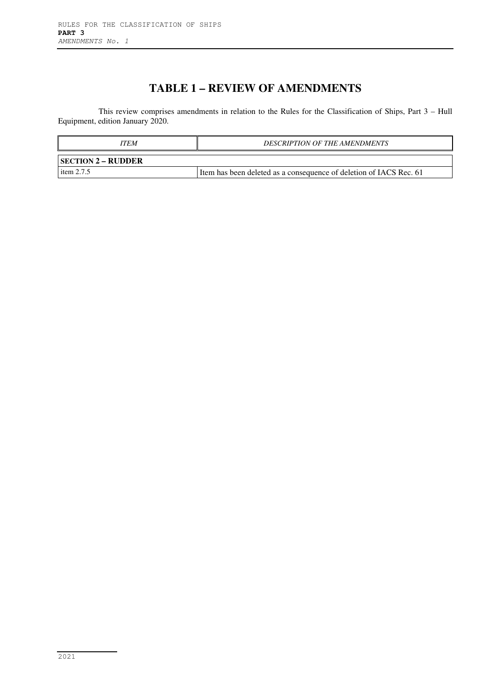# **TABLE 1 – REVIEW OF AMENDMENTS**

This review comprises amendments in relation to the Rules for the Classification of Ships, Part 3 – Hull Equipment, edition January 2020.

| ITEM                      | <b>DESCRIPTION OF THE AMENDMENTS</b>                                 |  |  |
|---------------------------|----------------------------------------------------------------------|--|--|
| <b>SECTION 2 – RUDDER</b> |                                                                      |  |  |
| item $2.7.5$              | I Item has been deleted as a consequence of deletion of IACS Rec. 61 |  |  |